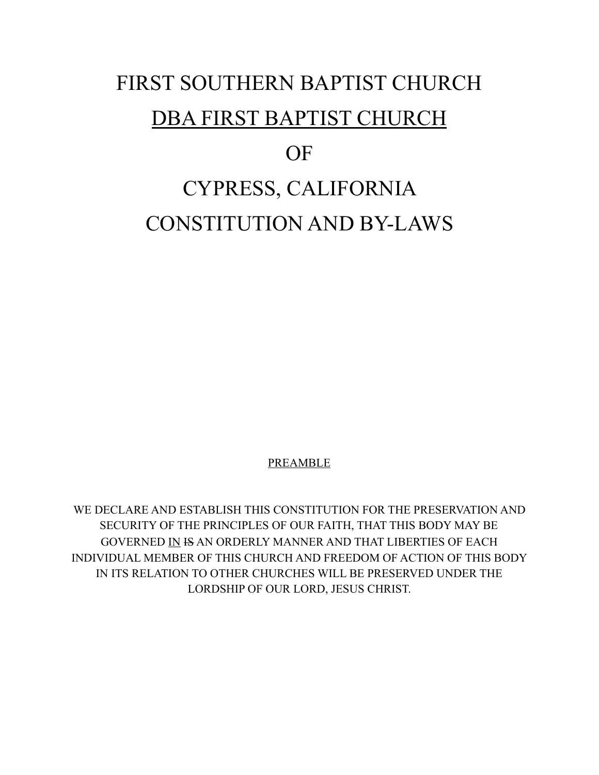# FIRST SOUTHERN BAPTIST CHURCH DBA FIRST BAPTIST CHURCH OF CYPRESS, CALIFORNIA CONSTITUTION AND BY-LAWS

**PREAMBLE** 

WE DECLARE AND ESTABLISH THIS CONSTITUTION FOR THE PRESERVATION AND SECURITY OF THE PRINCIPLES OF OUR FAITH, THAT THIS BODY MAY BE GOVERNED IN IS AN ORDERLY MANNER AND THAT LIBERTIES OF EACH INDIVIDUAL MEMBER OF THIS CHURCH AND FREEDOM OF ACTION OF THIS BODY IN ITS RELATION TO OTHER CHURCHES WILL BE PRESERVED UNDER THE LORDSHIP OF OUR LORD, JESUS CHRIST.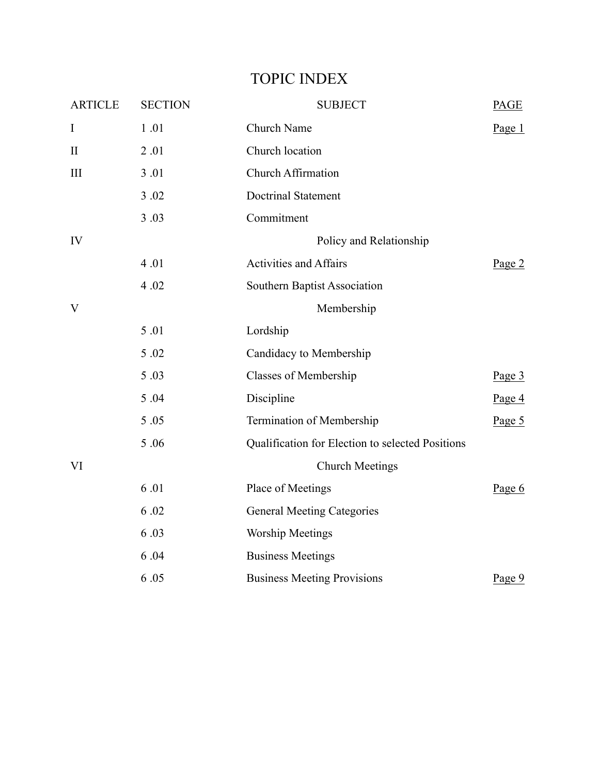| <b>ARTICLE</b> | <b>SECTION</b>          | <b>SUBJECT</b>                                   | <b>PAGE</b> |
|----------------|-------------------------|--------------------------------------------------|-------------|
| $\rm I$        | 1.01                    | Church Name                                      | Page $1$    |
| $\mathbf{I}$   | 2.01                    | Church location                                  |             |
| $\rm III$      | 3.01                    | <b>Church Affirmation</b>                        |             |
|                | 3.02                    | <b>Doctrinal Statement</b>                       |             |
|                | 3.03                    | Commitment                                       |             |
| IV             | Policy and Relationship |                                                  |             |
|                | 4.01                    | <b>Activities and Affairs</b>                    | Page $2$    |
|                | 4.02                    | Southern Baptist Association                     |             |
| V              |                         | Membership                                       |             |
|                | 5.01                    | Lordship                                         |             |
|                | 5.02                    | Candidacy to Membership                          |             |
|                | 5.03                    | <b>Classes of Membership</b>                     | Page $3$    |
|                | 5.04                    | Discipline                                       | Page $4$    |
|                | 5.05                    | Termination of Membership                        | Page $5$    |
|                | 5.06                    | Qualification for Election to selected Positions |             |
| VI             |                         | <b>Church Meetings</b>                           |             |
|                | 6.01                    | Place of Meetings                                | Page 6      |
|                | 6.02                    | <b>General Meeting Categories</b>                |             |
|                | 6.03                    | <b>Worship Meetings</b>                          |             |
|                | 6.04                    | <b>Business Meetings</b>                         |             |
|                | 6.05                    | <b>Business Meeting Provisions</b>               | Page 9      |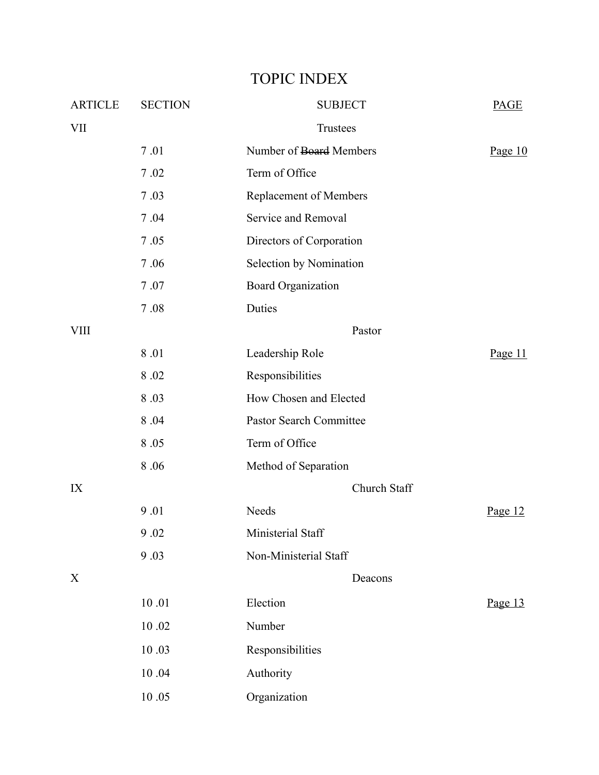| <b>ARTICLE</b> | <b>SECTION</b> | <b>SUBJECT</b>                 | <b>PAGE</b> |
|----------------|----------------|--------------------------------|-------------|
| <b>VII</b>     |                | Trustees                       |             |
|                | 7.01           | Number of Board Members        | Page $10$   |
|                | 7.02           | Term of Office                 |             |
|                | 7.03           | Replacement of Members         |             |
|                | 7.04           | Service and Removal            |             |
|                | 7.05           | Directors of Corporation       |             |
|                | 7.06           | Selection by Nomination        |             |
|                | 7.07           | <b>Board Organization</b>      |             |
|                | 7.08           | Duties                         |             |
| <b>VIII</b>    |                | Pastor                         |             |
|                | 8.01           | Leadership Role                | Page $11$   |
|                | 8.02           | Responsibilities               |             |
|                | 8.03           | How Chosen and Elected         |             |
|                | 8.04           | <b>Pastor Search Committee</b> |             |
|                | 8.05           | Term of Office                 |             |
|                | 8.06           | Method of Separation           |             |
| IX             |                | Church Staff                   |             |
|                | 9.01           | Needs                          | Page $12$   |
|                | 9.02           | Ministerial Staff              |             |
|                | 9.03           | Non-Ministerial Staff          |             |
| X              |                | Deacons                        |             |
|                | $10.01\,$      | Election                       | Page 13     |
|                | $10.02\,$      | Number                         |             |
|                | 10.03          | Responsibilities               |             |
|                | 10.04          | Authority                      |             |
|                | $10\;.05$      | Organization                   |             |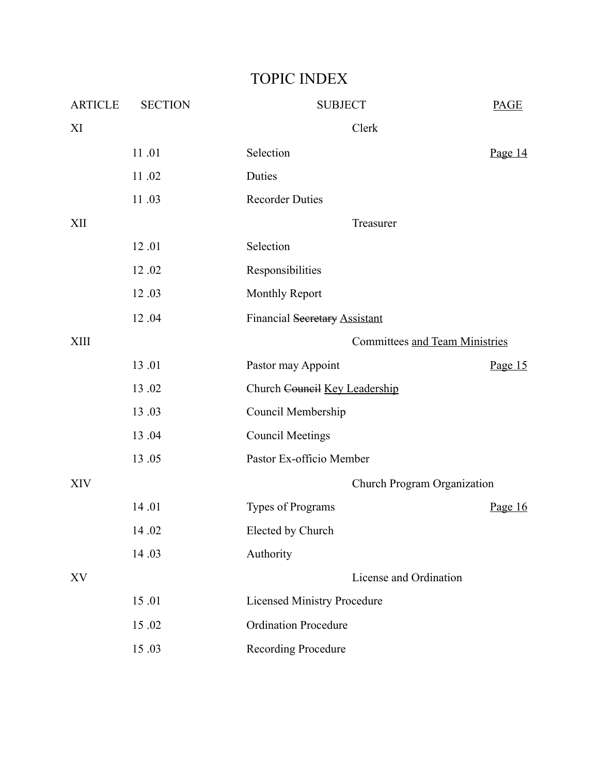| <b>ARTICLE</b> | <b>SECTION</b> | <b>SUBJECT</b>                     | <b>PAGE</b> |
|----------------|----------------|------------------------------------|-------------|
| XI             |                | Clerk                              |             |
|                | 11.01          | Selection                          | Page $14$   |
|                | 11.02          | Duties                             |             |
|                | 11.03          | <b>Recorder Duties</b>             |             |
| XII            |                | Treasurer                          |             |
|                | 12.01          | Selection                          |             |
|                | 12.02          | Responsibilities                   |             |
|                | 12.03          | <b>Monthly Report</b>              |             |
|                | 12.04          | Financial Secretary Assistant      |             |
| <b>XIII</b>    |                | Committees and Team Ministries     |             |
|                | 13.01          | Pastor may Appoint                 | Page $15$   |
|                | 13.02          | Church Council Key Leadership      |             |
|                | 13.03          | Council Membership                 |             |
|                | 13.04          | <b>Council Meetings</b>            |             |
|                | 13.05          | Pastor Ex-officio Member           |             |
| <b>XIV</b>     |                | Church Program Organization        |             |
|                | 14.01          | Types of Programs                  | Page $16$   |
|                | 14.02          | Elected by Church                  |             |
|                | 14.03          | Authority                          |             |
| XV             |                | License and Ordination             |             |
|                | 15.01          | <b>Licensed Ministry Procedure</b> |             |
|                | 15.02          | <b>Ordination Procedure</b>        |             |
|                | 15.03          | <b>Recording Procedure</b>         |             |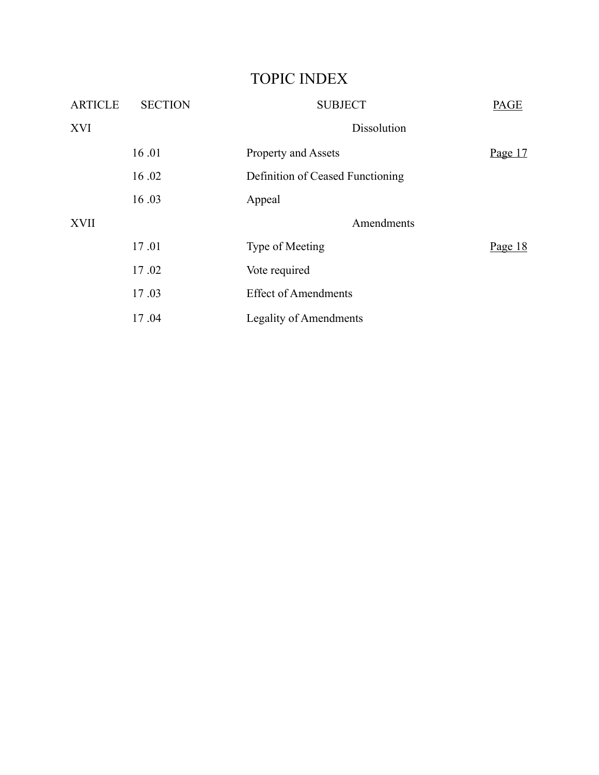| <b>ARTICLE</b> | <b>SECTION</b> | <b>SUBJECT</b>                   | <b>PAGE</b> |
|----------------|----------------|----------------------------------|-------------|
| <b>XVI</b>     |                | Dissolution                      |             |
|                | 16.01          | Property and Assets              | Page $17$   |
|                | 16.02          | Definition of Ceased Functioning |             |
|                | 16.03          | Appeal                           |             |
| <b>XVII</b>    |                | Amendments                       |             |
|                | 17.01          | Type of Meeting                  | Page $18$   |
|                | 17.02          | Vote required                    |             |
|                | 17.03          | <b>Effect of Amendments</b>      |             |
|                | 17.04          | <b>Legality of Amendments</b>    |             |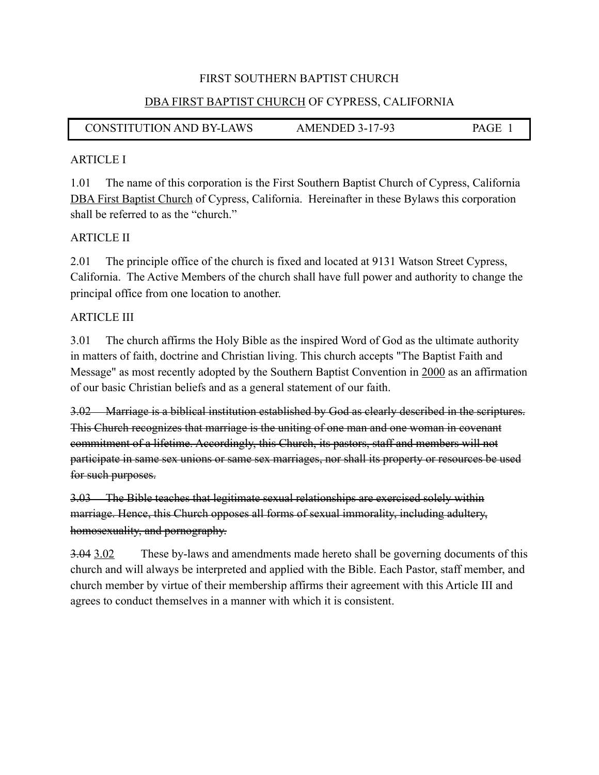#### DBA FIRST BAPTIST CHURCH OF CYPRESS, CALIFORNIA

## CONSTITUTION AND BY-LAWS AMENDED 3-17-93 PAGE 1

#### ARTICLE I

1.01 The name of this corporation is the First Southern Baptist Church of Cypress, California DBA First Baptist Church of Cypress, California. Hereinafter in these Bylaws this corporation shall be referred to as the "church."

#### ARTICLE II

2.01 The principle office of the church is fixed and located at 9131 Watson Street Cypress, California. The Active Members of the church shall have full power and authority to change the principal office from one location to another.

#### ARTICLE III

3.01 The church affirms the Holy Bible as the inspired Word of God as the ultimate authority in matters of faith, doctrine and Christian living. This church accepts "The Baptist Faith and Message" as most recently adopted by the Southern Baptist Convention in 2000 as an affirmation of our basic Christian beliefs and as a general statement of our faith.

3.02 Marriage is a biblical institution established by God as clearly described in the scriptures. This Church recognizes that marriage is the uniting of one man and one woman in covenant commitment of a lifetime. Accordingly, this Church, its pastors, staff and members will not participate in same sex unions or same sex marriages, nor shall its property or resources be used for such purposes.

3.03 The Bible teaches that legitimate sexual relationships are exercised solely within marriage. Hence, this Church opposes all forms of sexual immorality, including adultery, homosexuality, and pornography.

3.04 3.02 These by-laws and amendments made hereto shall be governing documents of this church and will always be interpreted and applied with the Bible. Each Pastor, staff member, and church member by virtue of their membership affirms their agreement with this Article III and agrees to conduct themselves in a manner with which it is consistent.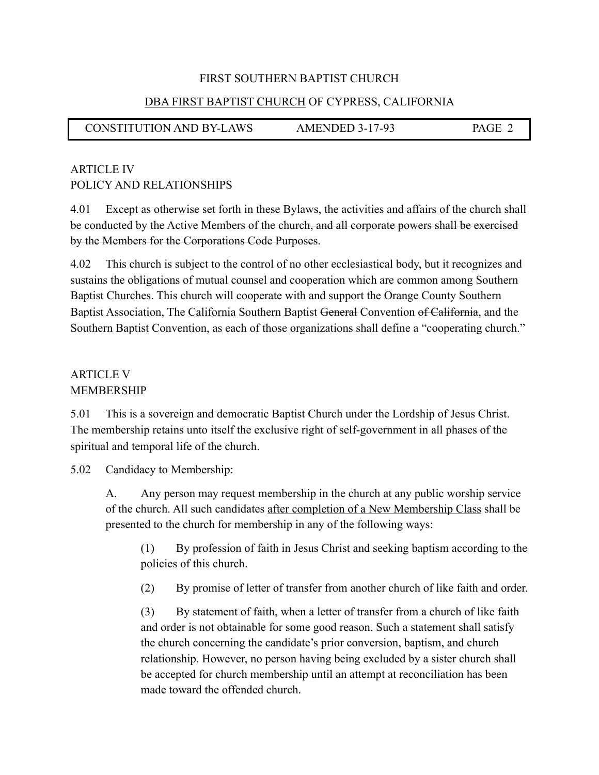#### DBA FIRST BAPTIST CHURCH OF CYPRESS, CALIFORNIA

CONSTITUTION AND BY-LAWS AMENDED 3-17-93 PAGE 2

## ARTICLE IV POLICY AND RELATIONSHIPS

4.01 Except as otherwise set forth in these Bylaws, the activities and affairs of the church shall be conducted by the Active Members of the church, and all corporate powers shall be exercised by the Members for the Corporations Code Purposes.

4.02 This church is subject to the control of no other ecclesiastical body, but it recognizes and sustains the obligations of mutual counsel and cooperation which are common among Southern Baptist Churches. This church will cooperate with and support the Orange County Southern Baptist Association, The California Southern Baptist General Convention of California, and the Southern Baptist Convention, as each of those organizations shall define a "cooperating church."

## ARTICLE V **MEMBERSHIP**

5.01 This is a sovereign and democratic Baptist Church under the Lordship of Jesus Christ. The membership retains unto itself the exclusive right of self-government in all phases of the spiritual and temporal life of the church.

5.02 Candidacy to Membership:

 A. Any person may request membership in the church at any public worship service of the church. All such candidates after completion of a New Membership Class shall be presented to the church for membership in any of the following ways:

 (1) By profession of faith in Jesus Christ and seeking baptism according to the policies of this church.

(2) By promise of letter of transfer from another church of like faith and order.

 (3) By statement of faith, when a letter of transfer from a church of like faith and order is not obtainable for some good reason. Such a statement shall satisfy the church concerning the candidate's prior conversion, baptism, and church relationship. However, no person having being excluded by a sister church shall be accepted for church membership until an attempt at reconciliation has been made toward the offended church.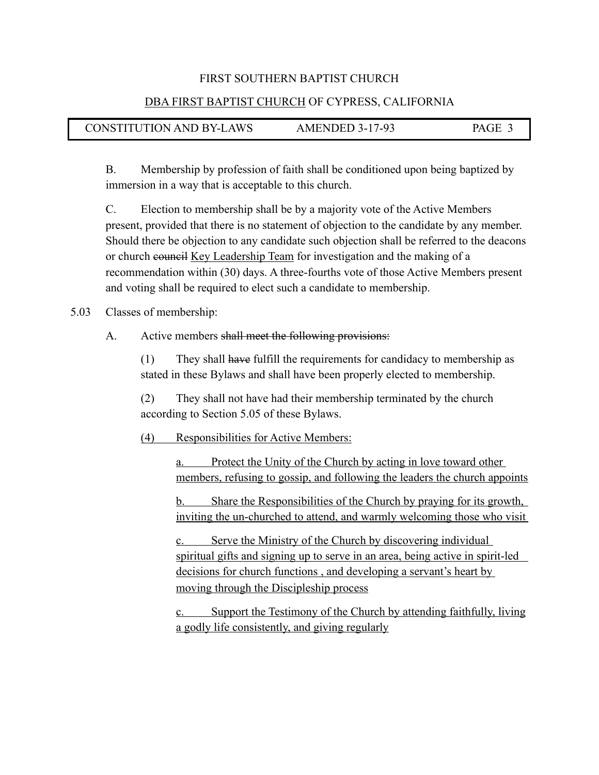#### DBA FIRST BAPTIST CHURCH OF CYPRESS, CALIFORNIA

| <b>CONSTITUTION AND BY-LAWS</b> | <b>AMENDED 3-17-93</b> | PAGE 3 |
|---------------------------------|------------------------|--------|
|---------------------------------|------------------------|--------|

 B. Membership by profession of faith shall be conditioned upon being baptized by immersion in a way that is acceptable to this church.

 C. Election to membership shall be by a majority vote of the Active Members present, provided that there is no statement of objection to the candidate by any member. Should there be objection to any candidate such objection shall be referred to the deacons or church council Key Leadership Team for investigation and the making of a recommendation within (30) days. A three-fourths vote of those Active Members present and voting shall be required to elect such a candidate to membership.

5.03 Classes of membership:

I

#### A. Active members shall meet the following provisions:

 (1) They shall have fulfill the requirements for candidacy to membership as stated in these Bylaws and shall have been properly elected to membership.

 (2) They shall not have had their membership terminated by the church according to Section 5.05 of these Bylaws.

(4) Responsibilities for Active Members:

 a. Protect the Unity of the Church by acting in love toward other members, refusing to gossip, and following the leaders the church appoints

 b. Share the Responsibilities of the Church by praying for its growth, inviting the un-churched to attend, and warmly welcoming those who visit

 c. Serve the Ministry of the Church by discovering individual spiritual gifts and signing up to serve in an area, being active in spirit-led decisions for church functions , and developing a servant's heart by moving through the Discipleship process

 c. Support the Testimony of the Church by attending faithfully, living a godly life consistently, and giving regularly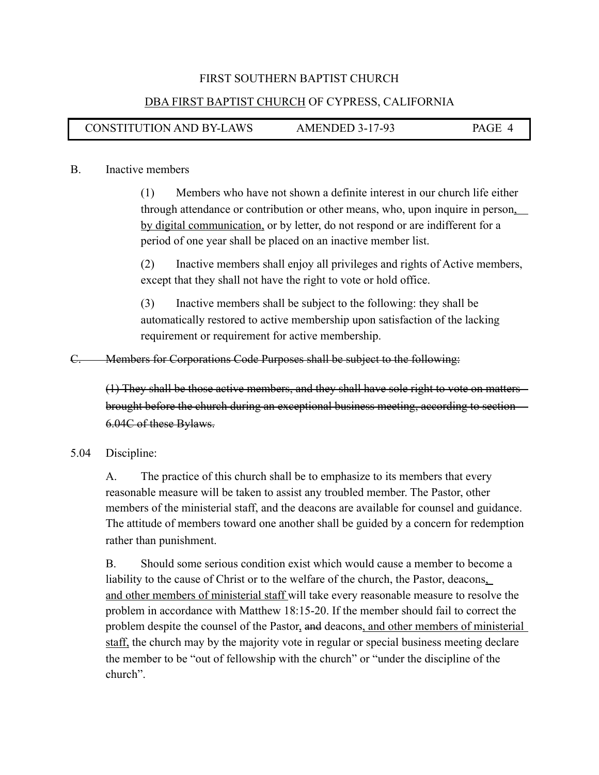#### DBA FIRST BAPTIST CHURCH OF CYPRESS, CALIFORNIA

## CONSTITUTION AND BY-LAWS AMENDED 3-17-93 PAGE 4

#### B. Inactive members

I

 (1) Members who have not shown a definite interest in our church life either through attendance or contribution or other means, who, upon inquire in person, by digital communication, or by letter, do not respond or are indifferent for a period of one year shall be placed on an inactive member list.

 (2) Inactive members shall enjoy all privileges and rights of Active members, except that they shall not have the right to vote or hold office.

 (3) Inactive members shall be subject to the following: they shall be automatically restored to active membership upon satisfaction of the lacking requirement or requirement for active membership.

C. Members for Corporations Code Purposes shall be subject to the following:

(1) They shall be those active members, and they shall have sole right to vote on matters brought before the church during an exceptional business meeting, according to section 6.04C of these Bylaws.

#### 5.04 Discipline:

 A. The practice of this church shall be to emphasize to its members that every reasonable measure will be taken to assist any troubled member. The Pastor, other members of the ministerial staff, and the deacons are available for counsel and guidance. The attitude of members toward one another shall be guided by a concern for redemption rather than punishment.

 B. Should some serious condition exist which would cause a member to become a liability to the cause of Christ or to the welfare of the church, the Pastor, deacons, and other members of ministerial staff will take every reasonable measure to resolve the problem in accordance with Matthew 18:15-20. If the member should fail to correct the problem despite the counsel of the Pastor, and deacons, and other members of ministerial staff, the church may by the majority vote in regular or special business meeting declare the member to be "out of fellowship with the church" or "under the discipline of the church".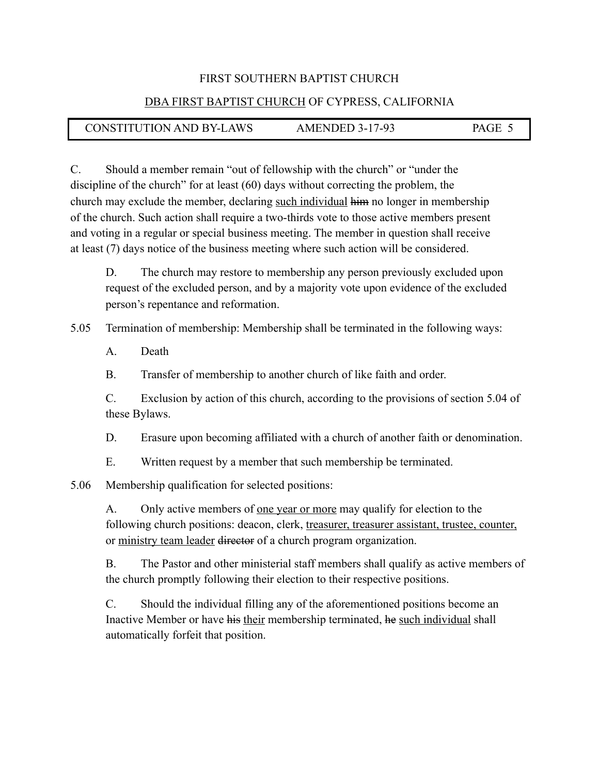#### DBA FIRST BAPTIST CHURCH OF CYPRESS, CALIFORNIA

## CONSTITUTION AND BY-LAWS AMENDED 3-17-93 PAGE 5

C. Should a member remain "out of fellowship with the church" or "under the discipline of the church" for at least (60) days without correcting the problem, the church may exclude the member, declaring such individual him no longer in membership of the church. Such action shall require a two-thirds vote to those active members present and voting in a regular or special business meeting. The member in question shall receive at least (7) days notice of the business meeting where such action will be considered.

 D. The church may restore to membership any person previously excluded upon request of the excluded person, and by a majority vote upon evidence of the excluded person's repentance and reformation.

5.05 Termination of membership: Membership shall be terminated in the following ways:

A. Death

I

B. Transfer of membership to another church of like faith and order.

 C. Exclusion by action of this church, according to the provisions of section 5.04 of these Bylaws.

D. Erasure upon becoming affiliated with a church of another faith or denomination.

E. Written request by a member that such membership be terminated.

5.06 Membership qualification for selected positions:

A. Only active members of <u>one year or more</u> may qualify for election to the following church positions: deacon, clerk, treasurer, treasurer assistant, trustee, counter, or ministry team leader director of a church program organization.

 B. The Pastor and other ministerial staff members shall qualify as active members of the church promptly following their election to their respective positions.

 C. Should the individual filling any of the aforementioned positions become an Inactive Member or have his their membership terminated, he such individual shall automatically forfeit that position.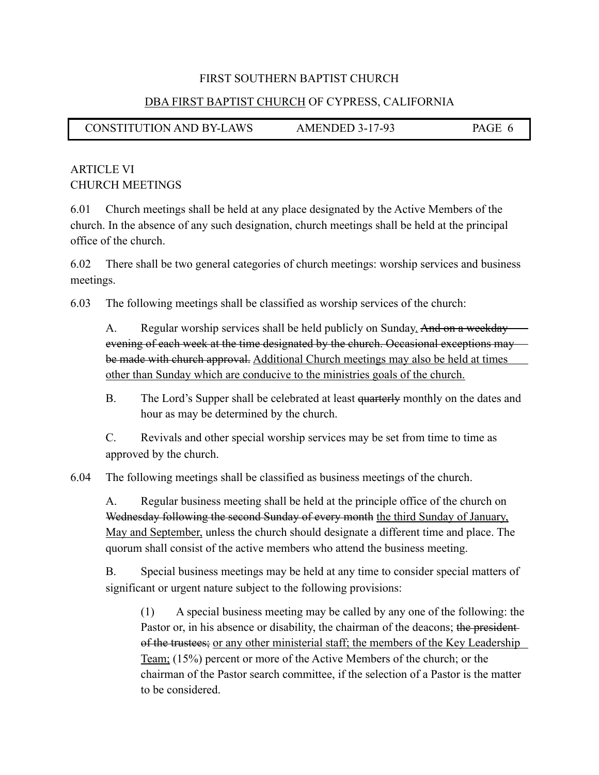#### DBA FIRST BAPTIST CHURCH OF CYPRESS, CALIFORNIA

CONSTITUTION AND BY-LAWS AMENDED 3-17-93 PAGE 6

## ARTICLE VI CHURCH MEETINGS

6.01 Church meetings shall be held at any place designated by the Active Members of the church. In the absence of any such designation, church meetings shall be held at the principal office of the church.

6.02 There shall be two general categories of church meetings: worship services and business meetings.

6.03 The following meetings shall be classified as worship services of the church:

A. Regular worship services shall be held publicly on Sunday. And on a weekday evening of each week at the time designated by the church. Occasional exceptions may be made with church approval. Additional Church meetings may also be held at times other than Sunday which are conducive to the ministries goals of the church.

B. The Lord's Supper shall be celebrated at least quarterly monthly on the dates and hour as may be determined by the church.

C. Revivals and other special worship services may be set from time to time as approved by the church.

6.04 The following meetings shall be classified as business meetings of the church.

 A. Regular business meeting shall be held at the principle office of the church on Wednesday following the second Sunday of every month the third Sunday of January, May and September, unless the church should designate a different time and place. The quorum shall consist of the active members who attend the business meeting.

 B. Special business meetings may be held at any time to consider special matters of significant or urgent nature subject to the following provisions:

 (1) A special business meeting may be called by any one of the following: the Pastor or, in his absence or disability, the chairman of the deacons; the president of the trustees; or any other ministerial staff; the members of the Key Leadership Team; (15%) percent or more of the Active Members of the church; or the chairman of the Pastor search committee, if the selection of a Pastor is the matter to be considered.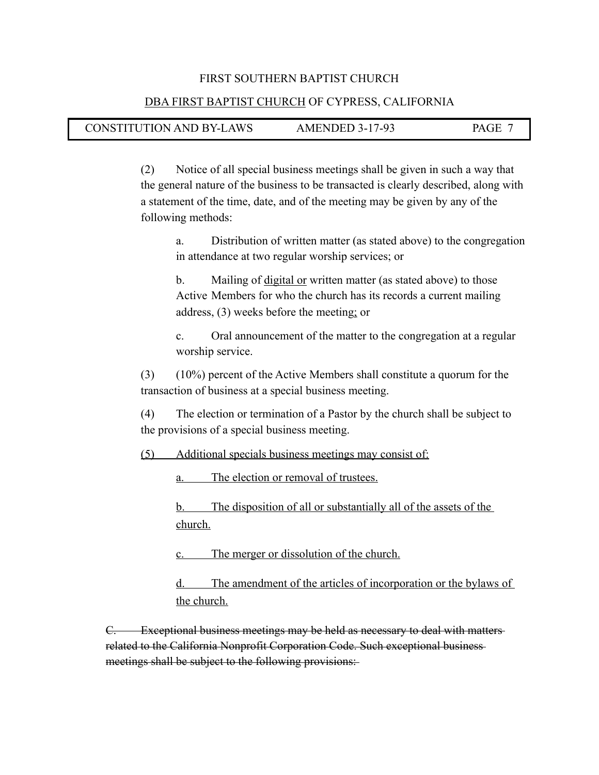#### DBA FIRST BAPTIST CHURCH OF CYPRESS, CALIFORNIA

#### CONSTITUTION AND BY-LAWS AMENDED 3-17-93 PAGE 7

I

 (2) Notice of all special business meetings shall be given in such a way that the general nature of the business to be transacted is clearly described, along with a statement of the time, date, and of the meeting may be given by any of the following methods:

 a. Distribution of written matter (as stated above) to the congregation in attendance at two regular worship services; or

 b. Mailing of digital or written matter (as stated above) to those Active Members for who the church has its records a current mailing address, (3) weeks before the meeting; or

 c. Oral announcement of the matter to the congregation at a regular worship service.

 (3) (10%) percent of the Active Members shall constitute a quorum for the transaction of business at a special business meeting.

 (4) The election or termination of a Pastor by the church shall be subject to the provisions of a special business meeting.

(5) Additional specials business meetings may consist of:

a. The election or removal of trustees.

 b. The disposition of all or substantially all of the assets of the church.

c. The merger or dissolution of the church.

 d. The amendment of the articles of incorporation or the bylaws of the church.

C. Exceptional business meetings may be held as necessary to deal with matters related to the California Nonprofit Corporation Code. Such exceptional business meetings shall be subject to the following provisions: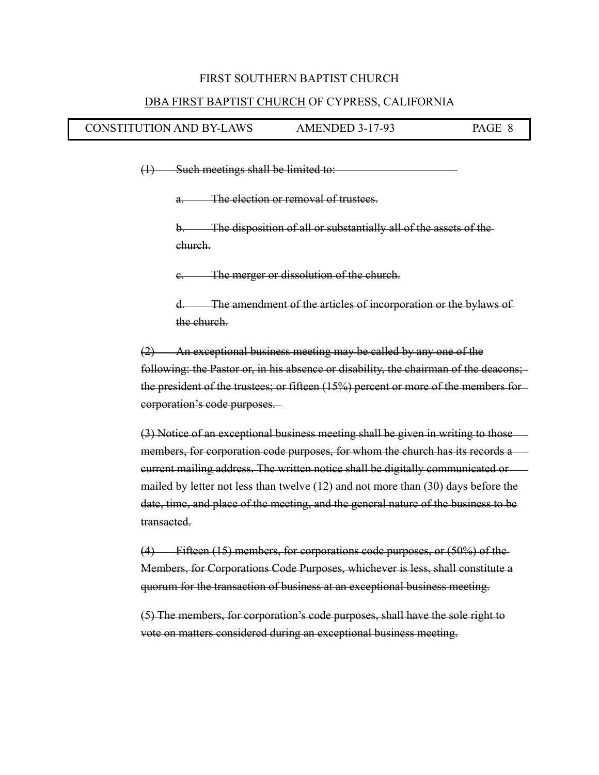#### DBA FIRST BAPTIST CHURCH OF CYPRESS, CALIFORNIA

#### CONSTITUTION AND BY-LAWS AMENDED 3-17-93 PAGE 8

 $(1)$  Such meetings shall be limited to:

I

a. The election or removal of trustees.

 b. The disposition of all or substantially all of the assets of the church.

c. The merger or dissolution of the church.

 d. The amendment of the articles of incorporation or the bylaws of the church.

 (2) An exceptional business meeting may be called by any one of the following: the Pastor or, in his absence or disability, the chairman of the deacons; the president of the trustees; or fifteen (15%) percent or more of the members for corporation's code purposes.

 (3) Notice of an exceptional business meeting shall be given in writing to those members, for corporation code purposes, for whom the church has its records a current mailing address. The written notice shall be digitally communicated or mailed by letter not less than twelve (12) and not more than (30) days before the date, time, and place of the meeting, and the general nature of the business to be transacted.

 (4) Fifteen (15) members, for corporations code purposes, or (50%) of the Members, for Corporations Code Purposes, whichever is less, shall constitute a quorum for the transaction of business at an exceptional business meeting.

 (5) The members, for corporation's code purposes, shall have the sole right to vote on matters considered during an exceptional business meeting.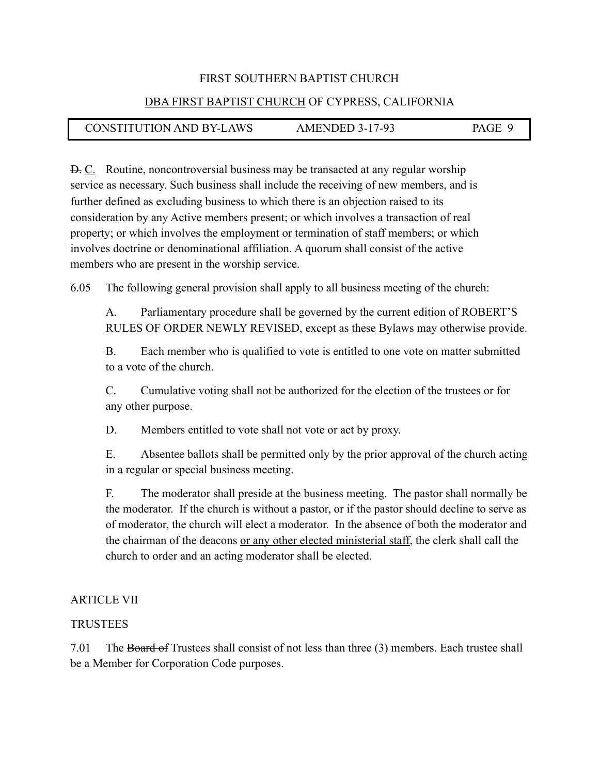#### DBA FIRST BAPTIST CHURCH OF CYPRESS, CALIFORNIA

## CONSTITUTION AND BY-LAWS AMENDED 3-17-93 PAGE 9

D. C. Routine, noncontroversial business may be transacted at any regular worship service as necessary. Such business shall include the receiving of new members, and is further defined as excluding business to which there is an objection raised to its consideration by any Active members present; or which involves a transaction of real property; or which involves the employment or termination of staff members; or which involves doctrine or denominational affiliation. A quorum shall consist of the active members who are present in the worship service.

6.05 The following general provision shall apply to all business meeting of the church:

 A. Parliamentary procedure shall be governed by the current edition of ROBERT'S RULES OF ORDER NEWLY REVISED, except as these Bylaws may otherwise provide.

 B. Each member who is qualified to vote is entitled to one vote on matter submitted to a vote of the church.

 C. Cumulative voting shall not be authorized for the election of the trustees or for any other purpose.

D. Members entitled to vote shall not vote or act by proxy.

 E. Absentee ballots shall be permitted only by the prior approval of the church acting in a regular or special business meeting.

 F. The moderator shall preside at the business meeting. The pastor shall normally be the moderator. If the church is without a pastor, or if the pastor should decline to serve as of moderator, the church will elect a moderator. In the absence of both the moderator and the chairman of the deacons or any other elected ministerial staff, the clerk shall call the church to order and an acting moderator shall be elected.

#### ARTICLE VII

#### **TRUSTEES**

I

7.01 The Board of Trustees shall consist of not less than three (3) members. Each trustee shall be a Member for Corporation Code purposes.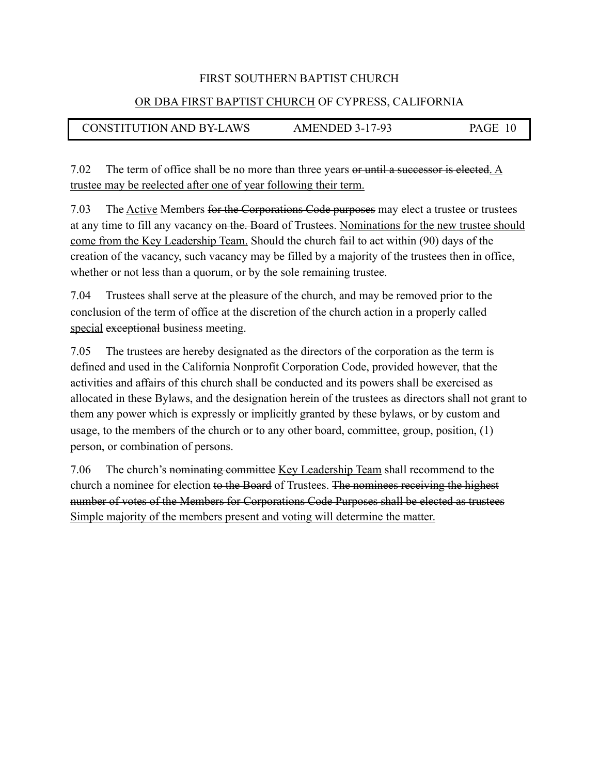#### OR DBA FIRST BAPTIST CHURCH OF CYPRESS, CALIFORNIA

## CONSTITUTION AND BY-LAWS AMENDED 3-17-93 PAGE 10

7.02 The term of office shall be no more than three years or until a successor is elected. A trustee may be reelected after one of year following their term.

7.03 The Active Members for the Corporations Code purposes may elect a trustee or trustees at any time to fill any vacancy on the. Board of Trustees. Nominations for the new trustee should come from the Key Leadership Team. Should the church fail to act within (90) days of the creation of the vacancy, such vacancy may be filled by a majority of the trustees then in office, whether or not less than a quorum, or by the sole remaining trustee.

7.04 Trustees shall serve at the pleasure of the church, and may be removed prior to the conclusion of the term of office at the discretion of the church action in a properly called special exceptional business meeting.

7.05 The trustees are hereby designated as the directors of the corporation as the term is defined and used in the California Nonprofit Corporation Code, provided however, that the activities and affairs of this church shall be conducted and its powers shall be exercised as allocated in these Bylaws, and the designation herein of the trustees as directors shall not grant to them any power which is expressly or implicitly granted by these bylaws, or by custom and usage, to the members of the church or to any other board, committee, group, position, (1) person, or combination of persons.

7.06 The church's nominating committee Key Leadership Team shall recommend to the church a nominee for election to the Board of Trustees. The nominees receiving the highest number of votes of the Members for Corporations Code Purposes shall be elected as trustees Simple majority of the members present and voting will determine the matter.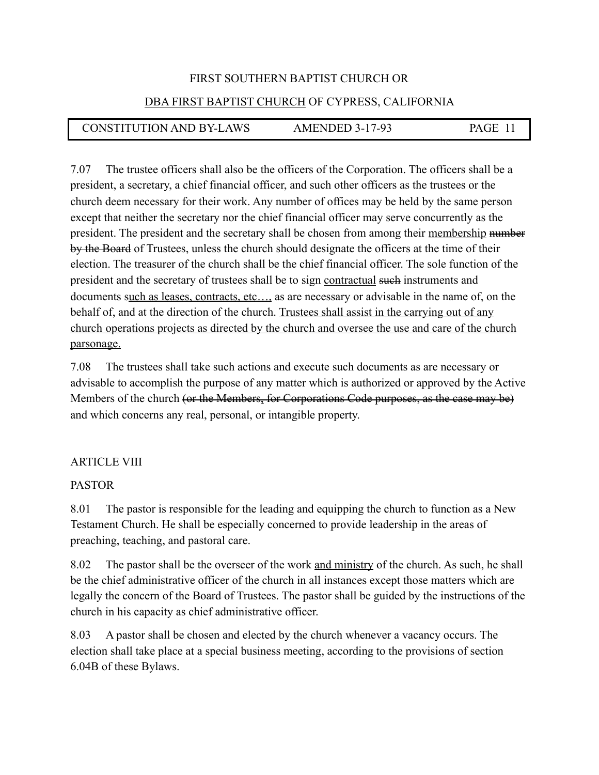#### DBA FIRST BAPTIST CHURCH OF CYPRESS, CALIFORNIA

## CONSTITUTION AND BY-LAWS AMENDED 3-17-93 PAGE 11

7.07 The trustee officers shall also be the officers of the Corporation. The officers shall be a president, a secretary, a chief financial officer, and such other officers as the trustees or the church deem necessary for their work. Any number of offices may be held by the same person except that neither the secretary nor the chief financial officer may serve concurrently as the president. The president and the secretary shall be chosen from among their membership number by the Board of Trustees, unless the church should designate the officers at the time of their election. The treasurer of the church shall be the chief financial officer. The sole function of the president and the secretary of trustees shall be to sign contractual such instruments and documents such as leases, contracts, etc…, as are necessary or advisable in the name of, on the behalf of, and at the direction of the church. Trustees shall assist in the carrying out of any church operations projects as directed by the church and oversee the use and care of the church parsonage.

7.08 The trustees shall take such actions and execute such documents as are necessary or advisable to accomplish the purpose of any matter which is authorized or approved by the Active Members of the church (or the Members, for Corporations Code purposes, as the case may be) and which concerns any real, personal, or intangible property.

#### ARTICLE VIII

#### PASTOR

8.01 The pastor is responsible for the leading and equipping the church to function as a New Testament Church. He shall be especially concerned to provide leadership in the areas of preaching, teaching, and pastoral care.

8.02 The pastor shall be the overseer of the work and ministry of the church. As such, he shall be the chief administrative officer of the church in all instances except those matters which are legally the concern of the Board of Trustees. The pastor shall be guided by the instructions of the church in his capacity as chief administrative officer.

8.03 A pastor shall be chosen and elected by the church whenever a vacancy occurs. The election shall take place at a special business meeting, according to the provisions of section 6.04B of these Bylaws.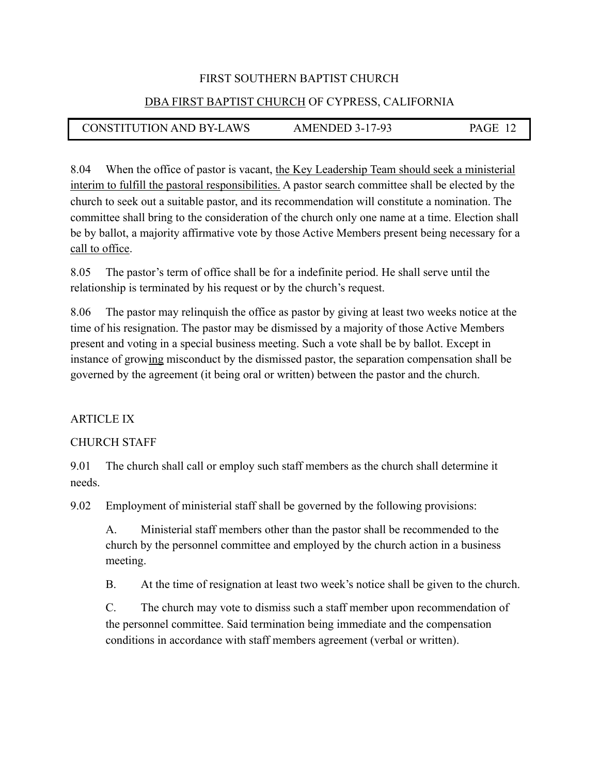#### DBA FIRST BAPTIST CHURCH OF CYPRESS, CALIFORNIA

## CONSTITUTION AND BY-LAWS AMENDED 3-17-93 PAGE 12

8.04 When the office of pastor is vacant, the Key Leadership Team should seek a ministerial interim to fulfill the pastoral responsibilities. A pastor search committee shall be elected by the church to seek out a suitable pastor, and its recommendation will constitute a nomination. The committee shall bring to the consideration of the church only one name at a time. Election shall be by ballot, a majority affirmative vote by those Active Members present being necessary for a call to office.

8.05 The pastor's term of office shall be for a indefinite period. He shall serve until the relationship is terminated by his request or by the church's request.

8.06 The pastor may relinquish the office as pastor by giving at least two weeks notice at the time of his resignation. The pastor may be dismissed by a majority of those Active Members present and voting in a special business meeting. Such a vote shall be by ballot. Except in instance of growing misconduct by the dismissed pastor, the separation compensation shall be governed by the agreement (it being oral or written) between the pastor and the church.

#### ARTICLE IX

#### CHURCH STAFF

9.01 The church shall call or employ such staff members as the church shall determine it needs.

9.02 Employment of ministerial staff shall be governed by the following provisions:

A. Ministerial staff members other than the pastor shall be recommended to the church by the personnel committee and employed by the church action in a business meeting.

B. At the time of resignation at least two week's notice shall be given to the church.

C. The church may vote to dismiss such a staff member upon recommendation of the personnel committee. Said termination being immediate and the compensation conditions in accordance with staff members agreement (verbal or written).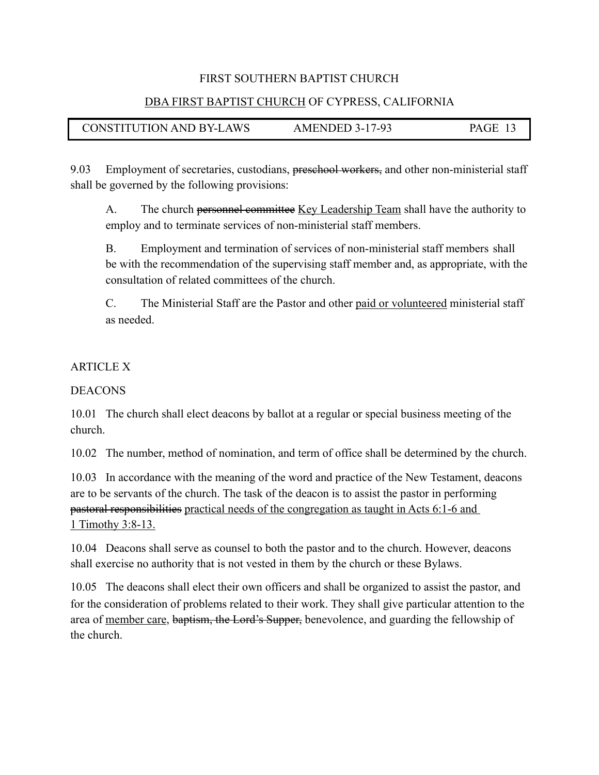#### DBA FIRST BAPTIST CHURCH OF CYPRESS, CALIFORNIA

CONSTITUTION AND BY-LAWS AMENDED 3-17-93 PAGE 13

9.03 Employment of secretaries, custodians, preschool workers, and other non-ministerial staff shall be governed by the following provisions:

A. The church personnel committee Key Leadership Team shall have the authority to employ and to terminate services of non-ministerial staff members.

B. Employment and termination of services of non-ministerial staff members shall be with the recommendation of the supervising staff member and, as appropriate, with the consultation of related committees of the church.

C. The Ministerial Staff are the Pastor and other paid or volunteered ministerial staff as needed.

#### ARTICLE X

**DEACONS** 

10.01 The church shall elect deacons by ballot at a regular or special business meeting of the church.

10.02 The number, method of nomination, and term of office shall be determined by the church.

10.03 In accordance with the meaning of the word and practice of the New Testament, deacons are to be servants of the church. The task of the deacon is to assist the pastor in performing pastoral responsibilities practical needs of the congregation as taught in Acts 6:1-6 and 1 Timothy 3:8-13.

10.04 Deacons shall serve as counsel to both the pastor and to the church. However, deacons shall exercise no authority that is not vested in them by the church or these Bylaws.

10.05 The deacons shall elect their own officers and shall be organized to assist the pastor, and for the consideration of problems related to their work. They shall give particular attention to the area of member care, baptism, the Lord's Supper, benevolence, and guarding the fellowship of the church.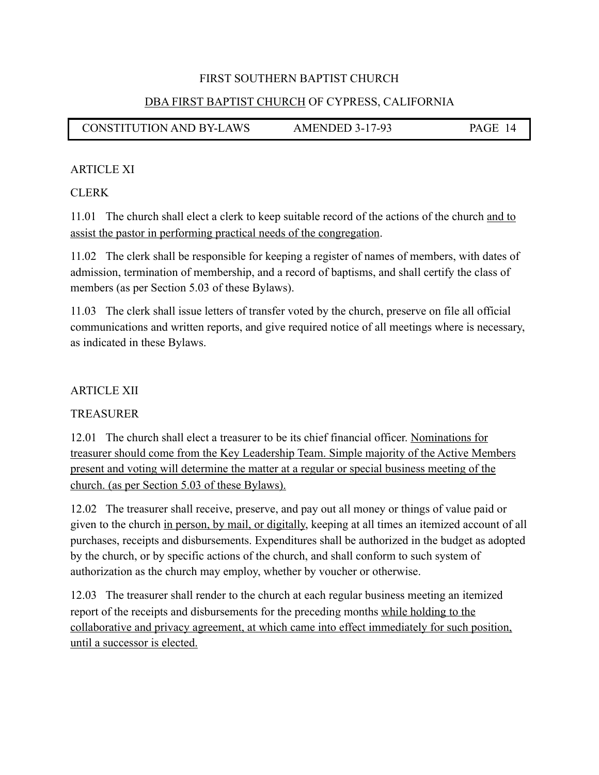#### DBA FIRST BAPTIST CHURCH OF CYPRESS, CALIFORNIA

CONSTITUTION AND BY-LAWS AMENDED 3-17-93 PAGE 14

#### ARTICLE XI

#### CLERK

11.01 The church shall elect a clerk to keep suitable record of the actions of the church and to assist the pastor in performing practical needs of the congregation.

11.02 The clerk shall be responsible for keeping a register of names of members, with dates of admission, termination of membership, and a record of baptisms, and shall certify the class of members (as per Section 5.03 of these Bylaws).

11.03 The clerk shall issue letters of transfer voted by the church, preserve on file all official communications and written reports, and give required notice of all meetings where is necessary, as indicated in these Bylaws.

#### **ARTICLE XII**

## **TREASURER**

12.01 The church shall elect a treasurer to be its chief financial officer. Nominations for treasurer should come from the Key Leadership Team. Simple majority of the Active Members present and voting will determine the matter at a regular or special business meeting of the church. (as per Section 5.03 of these Bylaws).

12.02 The treasurer shall receive, preserve, and pay out all money or things of value paid or given to the church in person, by mail, or digitally, keeping at all times an itemized account of all purchases, receipts and disbursements. Expenditures shall be authorized in the budget as adopted by the church, or by specific actions of the church, and shall conform to such system of authorization as the church may employ, whether by voucher or otherwise.

12.03 The treasurer shall render to the church at each regular business meeting an itemized report of the receipts and disbursements for the preceding months while holding to the collaborative and privacy agreement, at which came into effect immediately for such position, until a successor is elected.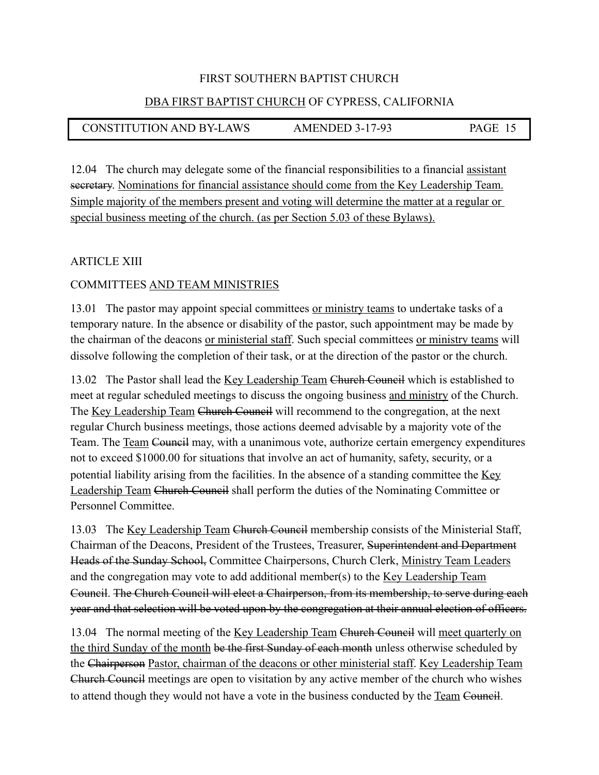#### DBA FIRST BAPTIST CHURCH OF CYPRESS, CALIFORNIA

## CONSTITUTION AND BY-LAWS AMENDED 3-17-93 PAGE 15

12.04 The church may delegate some of the financial responsibilities to a financial assistant secretary. Nominations for financial assistance should come from the Key Leadership Team. Simple majority of the members present and voting will determine the matter at a regular or special business meeting of the church. (as per Section 5.03 of these Bylaws).

#### ARTICLE XIII

#### COMMITTEES AND TEAM MINISTRIES

13.01 The pastor may appoint special committees or ministry teams to undertake tasks of a temporary nature. In the absence or disability of the pastor, such appointment may be made by the chairman of the deacons or ministerial staff. Such special committees or ministry teams will dissolve following the completion of their task, or at the direction of the pastor or the church.

13.02 The Pastor shall lead the Key Leadership Team Church Council which is established to meet at regular scheduled meetings to discuss the ongoing business and ministry of the Church. The Key Leadership Team Church Council will recommend to the congregation, at the next regular Church business meetings, those actions deemed advisable by a majority vote of the Team. The Team Council may, with a unanimous vote, authorize certain emergency expenditures not to exceed \$1000.00 for situations that involve an act of humanity, safety, security, or a potential liability arising from the facilities. In the absence of a standing committee the Key Leadership Team Church Council shall perform the duties of the Nominating Committee or Personnel Committee.

13.03 The Key Leadership Team Church Council membership consists of the Ministerial Staff, Chairman of the Deacons, President of the Trustees, Treasurer, Superintendent and Department Heads of the Sunday School, Committee Chairpersons, Church Clerk, Ministry Team Leaders and the congregation may vote to add additional member(s) to the Key Leadership Team Council. The Church Council will elect a Chairperson, from its membership, to serve during each year and that selection will be voted upon by the congregation at their annual election of officers.

13.04 The normal meeting of the Key Leadership Team Church Council will meet quarterly on the third Sunday of the month be the first Sunday of each month unless otherwise scheduled by the Chairperson Pastor, chairman of the deacons or other ministerial staff. Key Leadership Team Church Council meetings are open to visitation by any active member of the church who wishes to attend though they would not have a vote in the business conducted by the Team Council.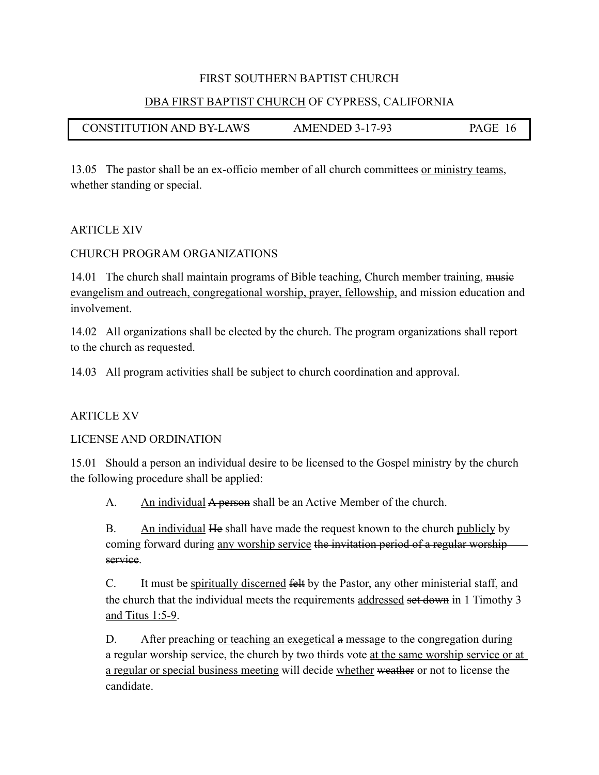#### DBA FIRST BAPTIST CHURCH OF CYPRESS, CALIFORNIA

## CONSTITUTION AND BY-LAWS AMENDED 3-17-93 PAGE 16

13.05 The pastor shall be an ex-officio member of all church committees or ministry teams, whether standing or special.

#### ARTICLE XIV

I

#### CHURCH PROGRAM ORGANIZATIONS

14.01 The church shall maintain programs of Bible teaching, Church member training, music evangelism and outreach, congregational worship, prayer, fellowship, and mission education and involvement.

14.02 All organizations shall be elected by the church. The program organizations shall report to the church as requested.

14.03 All program activities shall be subject to church coordination and approval.

#### ARTICLE XV

LICENSE AND ORDINATION

15.01 Should a person an individual desire to be licensed to the Gospel ministry by the church the following procedure shall be applied:

A. An individual A person shall be an Active Member of the church.

 B. An individual He shall have made the request known to the church publicly by coming forward during any worship service the invitation period of a regular worship service.

 C. It must be spiritually discerned felt by the Pastor, any other ministerial staff, and the church that the individual meets the requirements addressed set down in 1 Timothy 3 and Titus  $1:5-9$ .

D. After preaching <u>or teaching an exegetical</u> a message to the congregation during a regular worship service, the church by two thirds vote at the same worship service or at a regular or special business meeting will decide whether weather or not to license the candidate.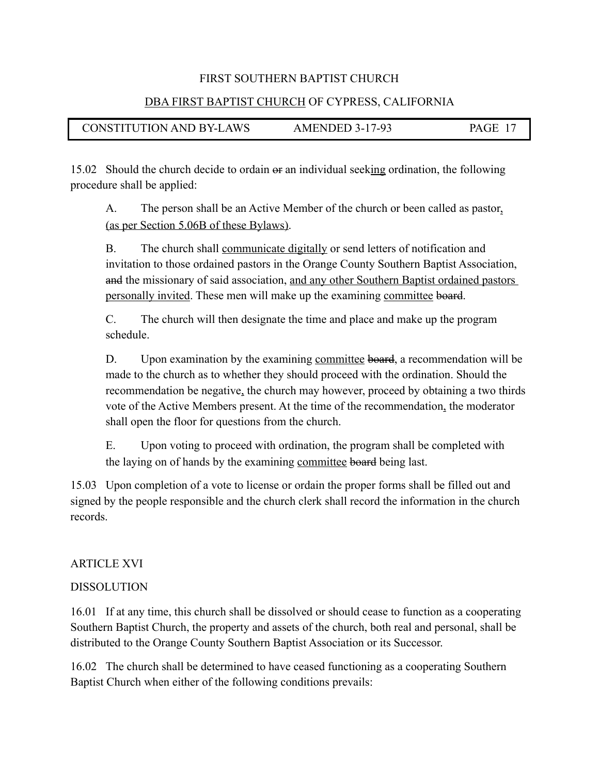#### DBA FIRST BAPTIST CHURCH OF CYPRESS, CALIFORNIA

## CONSTITUTION AND BY-LAWS AMENDED 3-17-93 PAGE 17

15.02 Should the church decide to ordain or an individual seeking ordination, the following procedure shall be applied:

 A. The person shall be an Active Member of the church or been called as pastor, (as per Section 5.06B of these Bylaws).

B. The church shall communicate digitally or send letters of notification and invitation to those ordained pastors in the Orange County Southern Baptist Association, and the missionary of said association, and any other Southern Baptist ordained pastors personally invited. These men will make up the examining committee board.

 C. The church will then designate the time and place and make up the program schedule.

D. Upon examination by the examining committee board, a recommendation will be made to the church as to whether they should proceed with the ordination. Should the recommendation be negative, the church may however, proceed by obtaining a two thirds vote of the Active Members present. At the time of the recommendation, the moderator shall open the floor for questions from the church.

 E. Upon voting to proceed with ordination, the program shall be completed with the laying on of hands by the examining committee board being last.

15.03 Upon completion of a vote to license or ordain the proper forms shall be filled out and signed by the people responsible and the church clerk shall record the information in the church records.

#### ARTICLE XVI

#### DISSOLUTION

16.01 If at any time, this church shall be dissolved or should cease to function as a cooperating Southern Baptist Church, the property and assets of the church, both real and personal, shall be distributed to the Orange County Southern Baptist Association or its Successor.

16.02 The church shall be determined to have ceased functioning as a cooperating Southern Baptist Church when either of the following conditions prevails: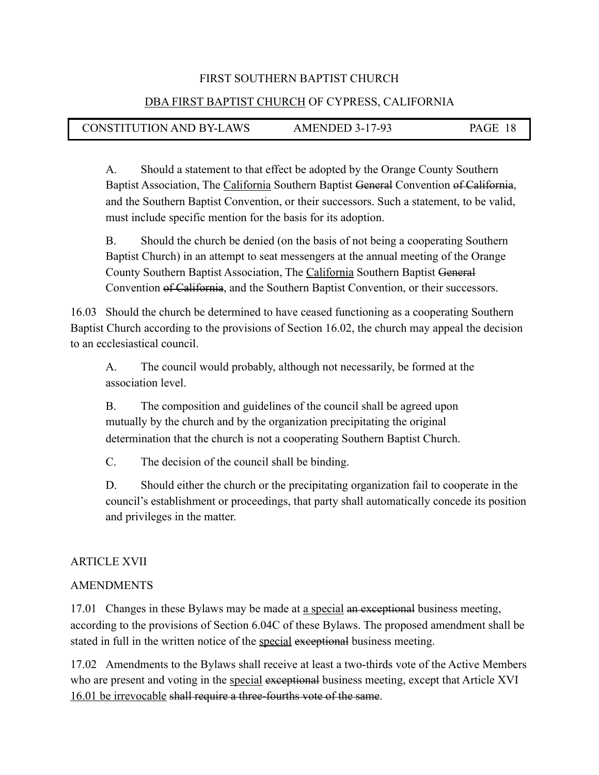#### DBA FIRST BAPTIST CHURCH OF CYPRESS, CALIFORNIA

## CONSTITUTION AND BY-LAWS AMENDED 3-17-93 PAGE 18

 A. Should a statement to that effect be adopted by the Orange County Southern Baptist Association, The California Southern Baptist General Convention of California, and the Southern Baptist Convention, or their successors. Such a statement, to be valid, must include specific mention for the basis for its adoption.

 B. Should the church be denied (on the basis of not being a cooperating Southern Baptist Church) in an attempt to seat messengers at the annual meeting of the Orange County Southern Baptist Association, The California Southern Baptist General Convention of California, and the Southern Baptist Convention, or their successors.

16.03 Should the church be determined to have ceased functioning as a cooperating Southern Baptist Church according to the provisions of Section 16.02, the church may appeal the decision to an ecclesiastical council.

 A. The council would probably, although not necessarily, be formed at the association level.

 B. The composition and guidelines of the council shall be agreed upon mutually by the church and by the organization precipitating the original determination that the church is not a cooperating Southern Baptist Church.

C. The decision of the council shall be binding.

 D. Should either the church or the precipitating organization fail to cooperate in the council's establishment or proceedings, that party shall automatically concede its position and privileges in the matter.

## ARTICLE XVII

#### AMENDMENTS

17.01 Changes in these Bylaws may be made at a special an exceptional business meeting, according to the provisions of Section 6.04C of these Bylaws. The proposed amendment shall be stated in full in the written notice of the special exceptional business meeting.

17.02 Amendments to the Bylaws shall receive at least a two-thirds vote of the Active Members who are present and voting in the special exceptional business meeting, except that Article XVI 16.01 be irrevocable shall require a three-fourths vote of the same.